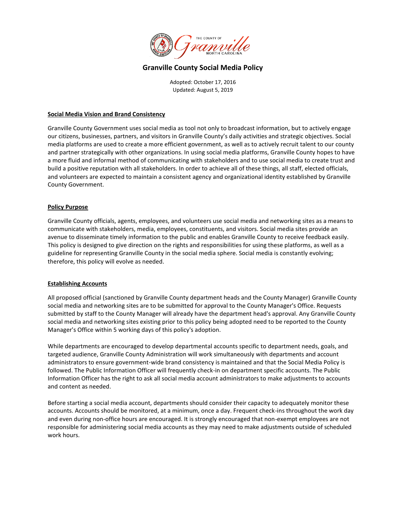

# **Granville County Social Media Policy**

Adopted: October 17, 2016 Updated: August 5, 2019

### **Social Media Vision and Brand Consistency**

Granville County Government uses social media as tool not only to broadcast information, but to actively engage our citizens, businesses, partners, and visitors in Granville County's daily activities and strategic objectives. Social media platforms are used to create a more efficient government, as well as to actively recruit talent to our county and partner strategically with other organizations. In using social media platforms, Granville County hopes to have a more fluid and informal method of communicating with stakeholders and to use social media to create trust and build a positive reputation with all stakeholders. In order to achieve all of these things, all staff, elected officials, and volunteers are expected to maintain a consistent agency and organizational identity established by Granville County Government.

# **Policy Purpose**

Granville County officials, agents, employees, and volunteers use social media and networking sites as a means to communicate with stakeholders, media, employees, constituents, and visitors. Social media sites provide an avenue to disseminate timely information to the public and enables Granville County to receive feedback easily. This policy is designed to give direction on the rights and responsibilities for using these platforms, as well as a guideline for representing Granville County in the social media sphere. Social media is constantly evolving; therefore, this policy will evolve as needed.

### **Establishing Accounts**

All proposed official (sanctioned by Granville County department heads and the County Manager) Granville County social media and networking sites are to be submitted for approval to the County Manager's Office. Requests submitted by staff to the County Manager will already have the department head's approval. Any Granville County social media and networking sites existing prior to this policy being adopted need to be reported to the County Manager's Office within 5 working days of this policy's adoption.

While departments are encouraged to develop departmental accounts specific to department needs, goals, and targeted audience, Granville County Administration will work simultaneously with departments and account administrators to ensure government-wide brand consistency is maintained and that the Social Media Policy is followed. The Public Information Officer will frequently check-in on department specific accounts. The Public Information Officer has the right to ask all social media account administrators to make adjustments to accounts and content as needed.

Before starting a social media account, departments should consider their capacity to adequately monitor these accounts. Accounts should be monitored, at a minimum, once a day. Frequent check-ins throughout the work day and even during non-office hours are encouraged. It is strongly encouraged that non-exempt employees are not responsible for administering social media accounts as they may need to make adjustments outside of scheduled work hours.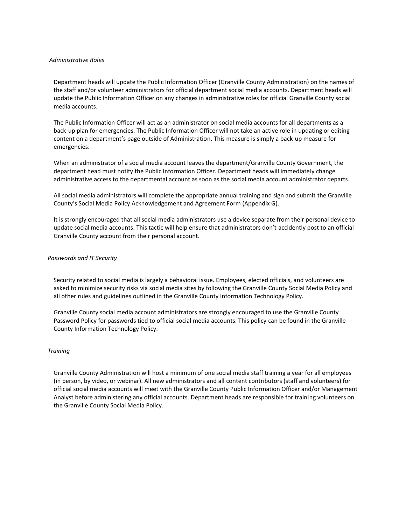### *Administrative Roles*

Department heads will update the Public Information Officer (Granville County Administration) on the names of the staff and/or volunteer administrators for official department social media accounts. Department heads will update the Public Information Officer on any changes in administrative roles for official Granville County social media accounts.

The Public Information Officer will act as an administrator on social media accounts for all departments as a back-up plan for emergencies. The Public Information Officer will not take an active role in updating or editing content on a department's page outside of Administration. This measure is simply a back-up measure for emergencies.

When an administrator of a social media account leaves the department/Granville County Government, the department head must notify the Public Information Officer. Department heads will immediately change administrative access to the departmental account as soon as the social media account administrator departs.

All social media administrators will complete the appropriate annual training and sign and submit the Granville County's Social Media Policy Acknowledgement and Agreement Form (Appendix G).

It is strongly encouraged that all social media administrators use a device separate from their personal device to update social media accounts. This tactic will help ensure that administrators don't accidently post to an official Granville County account from their personal account.

### *Passwords and IT Security*

Security related to social media is largely a behavioral issue. Employees, elected officials, and volunteers are asked to minimize security risks via social media sites by following the Granville County Social Media Policy and all other rules and guidelines outlined in the Granville County Information Technology Policy.

Granville County social media account administrators are strongly encouraged to use the Granville County Password Policy for passwords tied to official social media accounts. This policy can be found in the Granville County Information Technology Policy.

### *Training*

Granville County Administration will host a minimum of one social media staff training a year for all employees (in person, by video, or webinar). All new administrators and all content contributors (staff and volunteers) for official social media accounts will meet with the Granville County Public Information Officer and/or Management Analyst before administering any official accounts. Department heads are responsible for training volunteers on the Granville County Social Media Policy.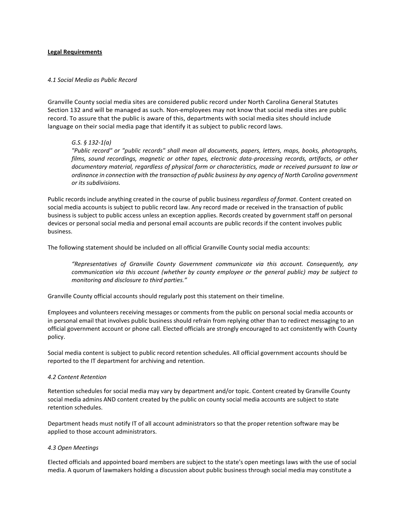#### **Legal Requirements**

### *4.1 Social Media as Public Record*

Granville County social media sites are considered public record under North Carolina General Statutes Section 132 and will be managed as such. Non-employees may not know that social media sites are public record. To assure that the public is aware of this, departments with social media sites should include language on their social media page that identify it as subject to public record laws.

### *G.S. § 132-1(a)*

*"Public record" or "public records" shall mean all documents, papers, letters, maps, books, photographs, films, sound recordings, magnetic or other tapes, electronic data-processing records, artifacts, or other documentary material, regardless of physical form or characteristics, made or received pursuant to law or ordinance in connection with the transaction of public business by any agency of North Carolina government or its subdivisions.*

Public records include anything created in the course of public business *regardless of format*. Content created on social media accounts is subject to public record law. Any record made or received in the transaction of public business is subject to public access unless an exception applies. Records created by government staff on personal devices or personal social media and personal email accounts are public records if the content involves public business.

The following statement should be included on all official Granville County social media accounts:

*"Representatives of Granville County Government communicate via this account. Consequently, any communication via this account (whether by county employee or the general public) may be subject to monitoring and disclosure to third parties."*

Granville County official accounts should regularly post this statement on their timeline.

Employees and volunteers receiving messages or comments from the public on personal social media accounts or in personal email that involves public business should refrain from replying other than to redirect messaging to an official government account or phone call. Elected officials are strongly encouraged to act consistently with County policy.

Social media content is subject to public record retention schedules. All official government accounts should be reported to the IT department for archiving and retention.

#### *4.2 Content Retention*

Retention schedules for social media may vary by department and/or topic. Content created by Granville County social media admins AND content created by the public on county social media accounts are subject to state retention schedules.

Department heads must notify IT of all account administrators so that the proper retention software may be applied to those account administrators.

#### *4.3 Open Meetings*

Elected officials and appointed board members are subject to the state's open meetings laws with the use of social media. A quorum of lawmakers holding a discussion about public business through social media may constitute a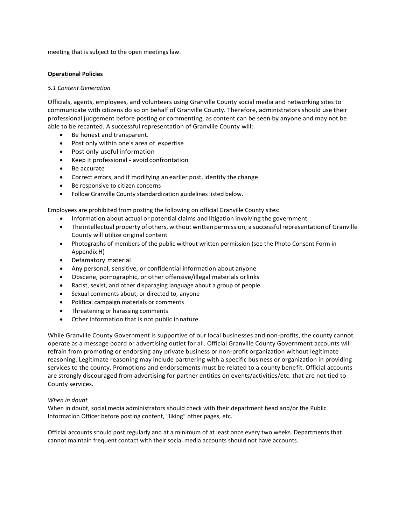meeting that is subject to the open meetings law.

### **Operational Policies**

### *5.1 Content Generation*

Officials, agents, employees, and volunteers using Granville County social media and networking sites to communicate with citizens do so on behalf of Granville County. Therefore, administrators should use their professional judgement before posting or commenting, as content can be seen by anyone and may not be able to be recanted. A successful representation of Granville County will:

- Be honest and transparent.
- Post only within one's area of expertise
- Post only useful information
- Keep it professional avoid confrontation
- Be accurate
- Correct errors, and if modifying an earlier post, identify the change
- Be responsive to citizen concerns
- Follow Granville County standardization guidelines listed below.

Employees are prohibited from posting the following on official Granville County sites:

- Information about actual or potential claims and litigation involving the government
- The intellectual property of others, without written permission; a successful representation of Granville County will utilize original content
- Photographs of members of the public without written permission (see the Photo Consent Form in Appendix H)
- Defamatory material
- Any personal, sensitive, or confidential information about anyone
- Obscene, pornographic, or other offensive/illegal materials orlinks
- Racist, sexist, and other disparaging language about a group of people
- Sexual comments about, or directed to, anyone
- Political campaign materials or comments
- Threatening or harassing comments
- Other information that is not public innature.

While Granville County Government is supportive of our local businesses and non-profits, the county cannot operate as a message board or advertising outlet for all. Official Granville County Government accounts will refrain from promoting or endorsing any private business or non-profit organization without legitimate reasoning. Legitimate reasoning may include partnering with a specific business or organization in providing services to the county. Promotions and endorsements must be related to a county benefit. Official accounts are strongly discouraged from advertising for partner entities on events/activities/etc. that are not tied to County services.

### *When in doubt*

When in doubt, social media administrators should check with their department head and/or the Public Information Officer before posting content, "liking" other pages, etc.

Official accounts should post regularly and at a minimum of at least once every two weeks. Departments that cannot maintain frequent contact with their social media accounts should not have accounts.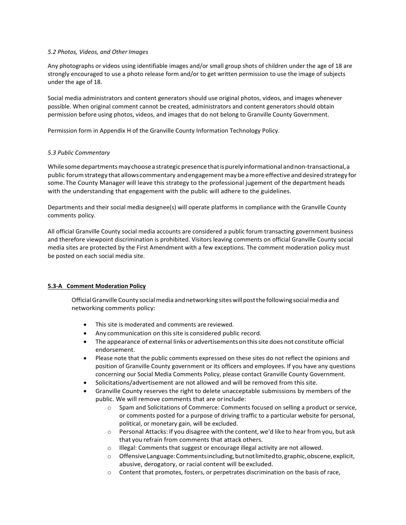### *5.2 Photos, Videos, and Other Images*

Any photographs or videos using identifiable images and/or small group shots of children under the age of 18 are strongly encouraged to use a photo release form and/or to get written permission to use the image of subjects under the age of 18.

Social media administrators and content generators should use original photos, videos, and images whenever possible. When original comment cannot be created, administrators and content generators should obtain permission before using photos, videos, and images that do not belong to Granville County Government.

Permission form in Appendix H of the Granville County Information Technology Policy.

# *5.3 Public Commentary*

While some departments may choose a strategic presence that is purely informational and non-transactional, a public forum strategy that allows commentary and engagement may be a more effective and desired strategy for some.The County Manager will leave this strategy to the professional jugement of the department heads with the understanding that engagement with the public will adhere to the guidelines.

Departments and their social media designee(s) will operate platforms in compliance with the Granville County comments policy.

All official Granville County social media accounts are considered a public forum transacting government business and therefore viewpoint discrimination is prohibited. Visitors leaving comments on official Granville County social media sites are protected by the First Amendment with a few exceptions. The comment moderation policy must be posted on each social media site.

# **5.3-A Comment Moderation Policy**

Official Granville County social media and networking sites will post the following social media and networking comments policy:

- This site is moderated and comments are reviewed.
- Any communication on thissite is considered public record.
- The appearance of external links or advertisements on this site does not constitute official endorsement.
- Please note that the public comments expressed on these sites do not reflect the opinions and position of Granville County government or its officers and employees. If you have any questions concerning our Social Media Comments Policy, please contact Granville County Government.
- Solicitations/advertisement are not allowed and will be removed from this site.
- Granville County reserves the right to delete unacceptable submissions by members of the public. We will remove comments that are orinclude:
	- o Spam and Solicitations of Commerce: Comments focused on selling a product or service, or comments posted for a purpose of driving traffic to a particular website for personal, political, or monetary gain, will be excluded.
	- o Personal Attacks: If you disagree with the content, we'd like to hear from you, but ask that you refrain from comments that attack others.
	- o Illegal: Comments that suggest or encourage illegal activity are not allowed.
	- o OffensiveLanguage:Commentsincluding,butnotlimitedto,graphic,obscene,explicit, abusive, derogatory, or racial content will beexcluded.
	- o Content that promotes, fosters, or perpetrates discrimination on the basis of race,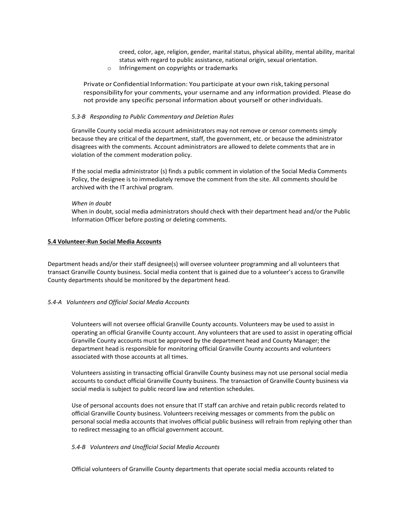creed, color, age, religion, gender, marital status, physical ability, mental ability, marital status with regard to public assistance, national origin, sexual orientation.

o Infringement on copyrights or trademarks

Private or Confidential Information: You participate at your own risk,taking personal responsibility for your comments, your username and any information provided. Please do not provide any specific personal information about yourself or otherindividuals.

#### *5.3-B Responding to Public Commentary and Deletion Rules*

Granville County social media account administrators may not remove or censor comments simply because they are critical of the department, staff, the government, etc. or because the administrator disagrees with the comments. Account administrators are allowed to delete comments that are in violation of the comment moderation policy.

If the social media administrator (s) finds a public comment in violation of the Social Media Comments Policy, the designee is to immediately remove the comment from the site. All comments should be archived with the IT archival program.

### *When in doubt*

When in doubt, social media administrators should check with their department head and/or the Public Information Officer before posting or deleting comments.

### **5.4 Volunteer-Run Social Media Accounts**

Department heads and/or their staff designee(s) will oversee volunteer programming and all volunteers that transact Granville County business. Social media content that is gained due to a volunteer's access to Granville County departments should be monitored by the department head.

### *5.4-A Volunteers and Official Social Media Accounts*

Volunteers will not oversee official Granville County accounts. Volunteers may be used to assist in operating an official Granville County account. Any volunteers that are used to assist in operating official Granville County accounts must be approved by the department head and County Manager; the department head is responsible for monitoring official Granville County accounts and volunteers associated with those accounts at all times.

Volunteers assisting in transacting official Granville County business may not use personal social media accounts to conduct official Granville County business. The transaction of Granville County business via social media is subject to public record law and retention schedules.

Use of personal accounts does not ensure that IT staff can archive and retain public records related to official Granville County business. Volunteers receiving messages or comments from the public on personal social media accounts that involves official public business will refrain from replying other than to redirect messaging to an official government account.

#### *5.4-B Volunteers and Unofficial Social Media Accounts*

Official volunteers of Granville County departments that operate social media accounts related to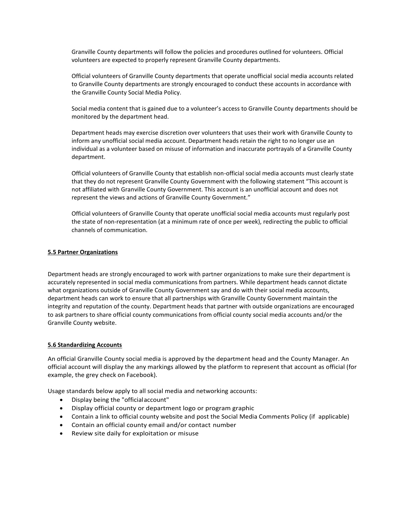Granville County departments will follow the policies and procedures outlined for volunteers. Official volunteers are expected to properly represent Granville County departments.

Official volunteers of Granville County departments that operate unofficial social media accounts related to Granville County departments are strongly encouraged to conduct these accounts in accordance with the Granville County Social Media Policy.

Social media content that is gained due to a volunteer's access to Granville County departments should be monitored by the department head.

Department heads may exercise discretion over volunteers that uses their work with Granville County to inform any unofficial social media account. Department heads retain the right to no longer use an individual as a volunteer based on misuse of information and inaccurate portrayals of a Granville County department.

Official volunteers of Granville County that establish non-official social media accounts must clearly state that they do not represent Granville County Government with the following statement "This account is not affiliated with Granville County Government. This account is an unofficial account and does not represent the views and actions of Granville County Government."

Official volunteers of Granville County that operate unofficial social media accounts must regularly post the state of non-representation (at a minimum rate of once per week), redirecting the public to official channels of communication.

### **5.5 Partner Organizations**

Department heads are strongly encouraged to work with partner organizations to make sure their department is accurately represented in social media communications from partners. While department heads cannot dictate what organizations outside of Granville County Government say and do with their social media accounts, department heads can work to ensure that all partnerships with Granville County Government maintain the integrity and reputation of the county. Department heads that partner with outside organizations are encouraged to ask partners to share official county communications from official county social media accounts and/or the Granville County website.

#### **5.6 Standardizing Accounts**

An official Granville County social media is approved by the department head and the County Manager. An official account will display the any markings allowed by the platform to represent that account as official (for example, the grey check on Facebook).

Usage standards below apply to all social media and networking accounts:

- Display being the "officialaccount"
- Display official county or department logo or program graphic
- Contain a link to official county website and post the Social Media Comments Policy (if applicable)
- Contain an official county email and/or contact number
- Review site daily for exploitation or misuse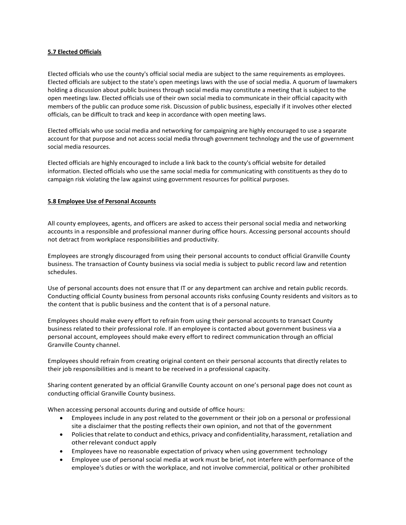# **5.7 Elected Officials**

Elected officials who use the county's official social media are subject to the same requirements as employees. Elected officials are subject to the state's open meetings laws with the use of social media. A quorum of lawmakers holding a discussion about public business through social media may constitute a meeting that is subject to the open meetings law. Elected officials use of their own social media to communicate in their official capacity with members of the public can produce some risk. Discussion of public business, especially if it involves other elected officials, can be difficult to track and keep in accordance with open meeting laws.

Elected officials who use social media and networking for campaigning are highly encouraged to use a separate account for that purpose and not access social media through government technology and the use of government social media resources.

Elected officials are highly encouraged to include a link back to the county's official website for detailed information. Elected officials who use the same social media for communicating with constituents as they do to campaign risk violating the law against using government resources for political purposes.

# **5.8 Employee Use of Personal Accounts**

All county employees, agents, and officers are asked to access their personal social media and networking accounts in a responsible and professional manner during office hours. Accessing personal accounts should not detract from workplace responsibilities and productivity.

Employees are strongly discouraged from using their personal accounts to conduct official Granville County business. The transaction of County business via social media is subject to public record law and retention schedules.

Use of personal accounts does not ensure that IT or any department can archive and retain public records. Conducting official County business from personal accounts risks confusing County residents and visitors as to the content that is public business and the content that is of a personal nature.

Employees should make every effort to refrain from using their personal accounts to transact County business related to their professional role. If an employee is contacted about government business via a personal account, employees should make every effort to redirect communication through an official Granville County channel.

Employees should refrain from creating original content on their personal accounts that directly relates to their job responsibilities and is meant to be received in a professional capacity.

Sharing content generated by an official Granville County account on one's personal page does not count as conducting official Granville County business.

When accessing personal accounts during and outside of office hours:

- Employees include in any post related to the government or their job on a personal or professional site a disclaimer that the posting reflects their own opinion, and not that of the government
- Policies that relate to conduct and ethics, privacy and confidentiality, harassment, retaliation and otherrelevant conduct apply
- Employees have no reasonable expectation of privacy when using government technology
- Employee use of personal social media at work must be brief, not interfere with performance of the employee's duties or with the workplace, and not involve commercial, political or other prohibited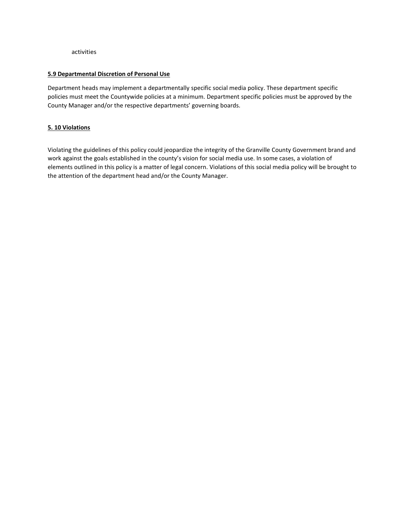activities

### **5.9 Departmental Discretion of Personal Use**

Department heads may implement a departmentally specific social media policy. These department specific policies must meet the Countywide policies at a minimum. Department specific policies must be approved by the County Manager and/or the respective departments' governing boards.

# **5. 10 Violations**

Violating the guidelines of this policy could jeopardize the integrity of the Granville County Government brand and work against the goals established in the county's vision for social media use. In some cases, a violation of elements outlined in this policy is a matter of legal concern. Violations of this social media policy will be brought to the attention of the department head and/or the County Manager.